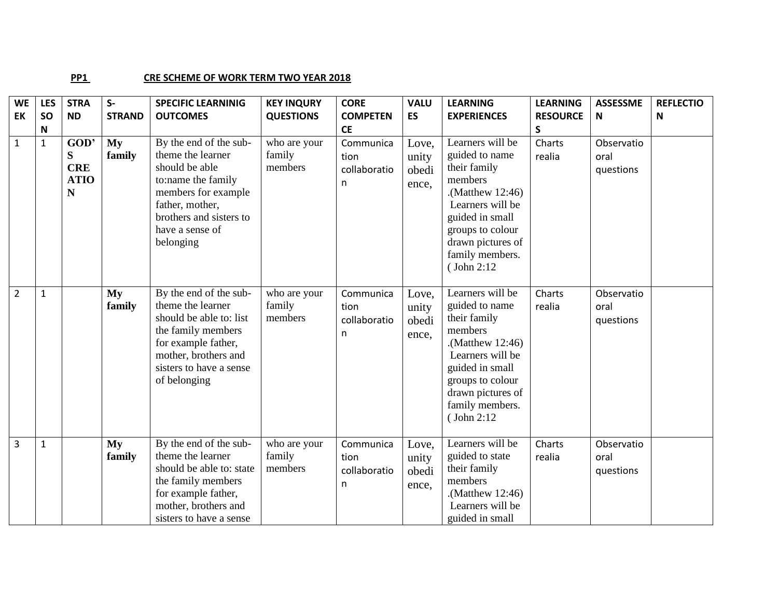## **PP1** CRE SCHEME OF WORK TERM TWO YEAR 2018

| <b>WE</b>      | <b>LES</b>   | <b>STRA</b>                                 | $S-$          | <b>SPECIFIC LEARNINIG</b>                                                                                                                                                                | <b>KEY INQURY</b>                 | <b>CORE</b>                            | <b>VALU</b>                      | <b>LEARNING</b>                                                                                                                                                                                        | <b>LEARNING</b>  | <b>ASSESSME</b>                 | <b>REFLECTIO</b> |
|----------------|--------------|---------------------------------------------|---------------|------------------------------------------------------------------------------------------------------------------------------------------------------------------------------------------|-----------------------------------|----------------------------------------|----------------------------------|--------------------------------------------------------------------------------------------------------------------------------------------------------------------------------------------------------|------------------|---------------------------------|------------------|
| EK             | <b>SO</b>    | <b>ND</b>                                   | <b>STRAND</b> | <b>OUTCOMES</b>                                                                                                                                                                          | <b>QUESTIONS</b>                  | <b>COMPETEN</b>                        | ES                               | <b>EXPERIENCES</b>                                                                                                                                                                                     | <b>RESOURCE</b>  | N                               | N                |
|                | $\mathsf N$  |                                             |               |                                                                                                                                                                                          |                                   | <b>CE</b>                              |                                  |                                                                                                                                                                                                        | $\sf S$          |                                 |                  |
| $\mathbf{1}$   | $\mathbf{1}$ | GOD'<br>S<br><b>CRE</b><br><b>ATIO</b><br>N | My<br>family  | By the end of the sub-<br>theme the learner<br>should be able<br>to:name the family<br>members for example<br>father, mother,<br>brothers and sisters to<br>have a sense of<br>belonging | who are your<br>family<br>members | Communica<br>tion<br>collaboratio<br>n | Love,<br>unity<br>obedi<br>ence, | Learners will be<br>guided to name<br>their family<br>members<br>$(Mat$ thew 12:46).<br>Learners will be<br>guided in small<br>groups to colour<br>drawn pictures of<br>family members.<br>(John 2:12) | Charts<br>realia | Observatio<br>oral<br>questions |                  |
| $\overline{2}$ | $\mathbf{1}$ |                                             | My<br>family  | By the end of the sub-<br>theme the learner<br>should be able to: list<br>the family members<br>for example father,<br>mother, brothers and<br>sisters to have a sense<br>of belonging   | who are your<br>family<br>members | Communica<br>tion<br>collaboratio<br>n | Love,<br>unity<br>obedi<br>ence, | Learners will be<br>guided to name<br>their family<br>members<br>.(Matthew $12:46$ )<br>Learners will be<br>guided in small<br>groups to colour<br>drawn pictures of<br>family members.<br>(John 2:12  | Charts<br>realia | Observatio<br>oral<br>questions |                  |
| $\overline{3}$ | $\mathbf{1}$ |                                             | My<br>family  | By the end of the sub-<br>theme the learner<br>should be able to: state<br>the family members<br>for example father,<br>mother, brothers and<br>sisters to have a sense                  | who are your<br>family<br>members | Communica<br>tion<br>collaboratio<br>n | Love,<br>unity<br>obedi<br>ence, | Learners will be<br>guided to state<br>their family<br>members<br>.(Matthew $12:46$ )<br>Learners will be<br>guided in small                                                                           | Charts<br>realia | Observatio<br>oral<br>questions |                  |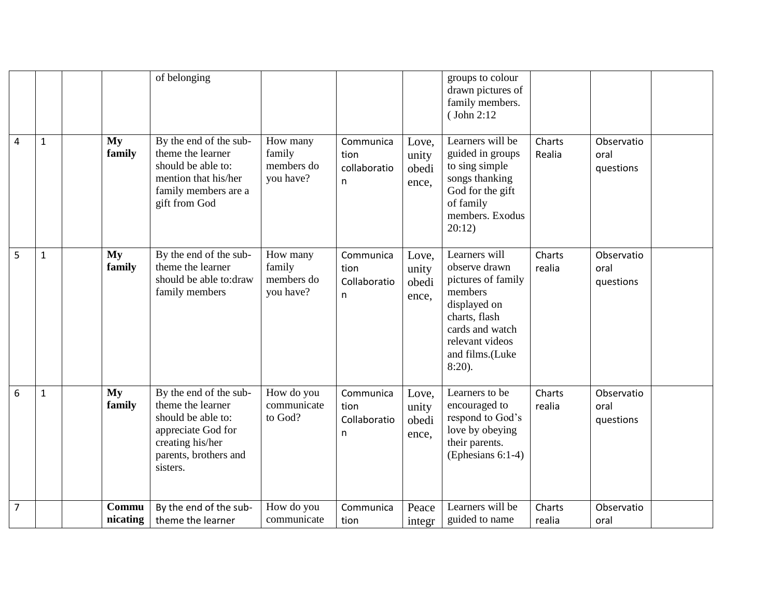|                |              |                   | of belonging                                                                                                                                     |                                               |                                        |                                  | groups to colour<br>drawn pictures of<br>family members.<br>(John 2:12                                                                                                 |                  |                                 |  |
|----------------|--------------|-------------------|--------------------------------------------------------------------------------------------------------------------------------------------------|-----------------------------------------------|----------------------------------------|----------------------------------|------------------------------------------------------------------------------------------------------------------------------------------------------------------------|------------------|---------------------------------|--|
| 4              | $\mathbf{1}$ | My<br>family      | By the end of the sub-<br>theme the learner<br>should be able to:<br>mention that his/her<br>family members are a<br>gift from God               | How many<br>family<br>members do<br>you have? | Communica<br>tion<br>collaboratio<br>n | Love,<br>unity<br>obedi<br>ence, | Learners will be<br>guided in groups<br>to sing simple<br>songs thanking<br>God for the gift<br>of family<br>members. Exodus<br>20:12)                                 | Charts<br>Realia | Observatio<br>oral<br>questions |  |
| 5              | $\mathbf{1}$ | My<br>family      | By the end of the sub-<br>theme the learner<br>should be able to:draw<br>family members                                                          | How many<br>family<br>members do<br>you have? | Communica<br>tion<br>Collaboratio<br>n | Love,<br>unity<br>obedi<br>ence, | Learners will<br>observe drawn<br>pictures of family<br>members<br>displayed on<br>charts, flash<br>cards and watch<br>relevant videos<br>and films.(Luke<br>$8:20$ ). | Charts<br>realia | Observatio<br>oral<br>questions |  |
| 6              | $\mathbf{1}$ | My<br>family      | By the end of the sub-<br>theme the learner<br>should be able to:<br>appreciate God for<br>creating his/her<br>parents, brothers and<br>sisters. | How do you<br>communicate<br>to God?          | Communica<br>tion<br>Collaboratio<br>n | Love,<br>unity<br>obedi<br>ence, | Learners to be<br>encouraged to<br>respond to God's<br>love by obeying<br>their parents.<br>(Ephesians 6:1-4)                                                          | Charts<br>realia | Observatio<br>oral<br>questions |  |
| $\overline{7}$ |              | Commu<br>nicating | By the end of the sub-<br>theme the learner                                                                                                      | How do you<br>communicate                     | Communica<br>tion                      | Peace<br>integr                  | Learners will be<br>guided to name                                                                                                                                     | Charts<br>realia | Observatio<br>oral              |  |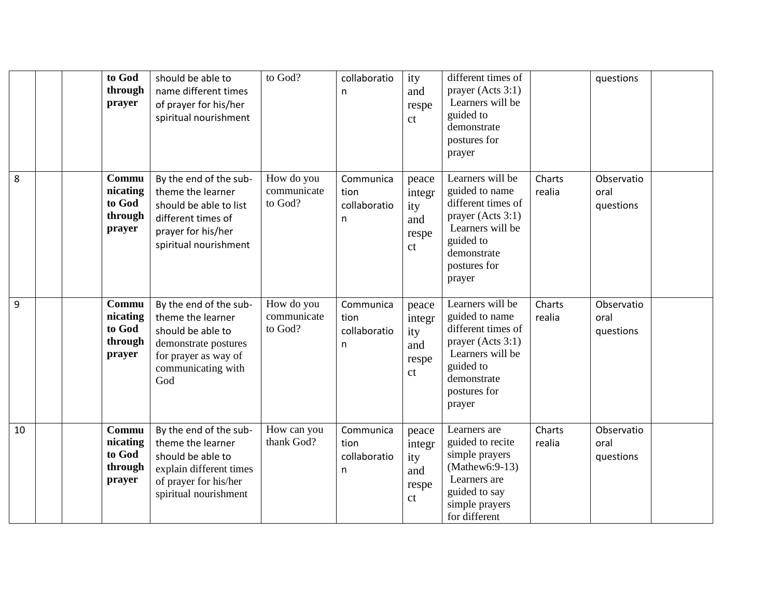|    | to God<br>through<br>prayer                      | should be able to<br>name different times<br>of prayer for his/her<br>spiritual nourishment                                                   | to God?                              | collaboratio<br>n                      | ity<br>and<br>respe<br>ct                                | different times of<br>prayer (Acts 3:1)<br>Learners will be<br>guided to<br>demonstrate<br>postures for<br>prayer                                       |                  | questions                       |  |
|----|--------------------------------------------------|-----------------------------------------------------------------------------------------------------------------------------------------------|--------------------------------------|----------------------------------------|----------------------------------------------------------|---------------------------------------------------------------------------------------------------------------------------------------------------------|------------------|---------------------------------|--|
| 8  | Commu<br>nicating<br>to God<br>through<br>prayer | By the end of the sub-<br>theme the learner<br>should be able to list<br>different times of<br>prayer for his/her<br>spiritual nourishment    | How do you<br>communicate<br>to God? | Communica<br>tion<br>collaboratio<br>n | peace<br>integr<br>ity<br>and<br>respe<br><sub>c</sub> t | Learners will be<br>guided to name<br>different times of<br>prayer (Acts 3:1)<br>Learners will be<br>guided to<br>demonstrate<br>postures for<br>prayer | Charts<br>realia | Observatio<br>oral<br>questions |  |
| 9  | Commu<br>nicating<br>to God<br>through<br>prayer | By the end of the sub-<br>theme the learner<br>should be able to<br>demonstrate postures<br>for prayer as way of<br>communicating with<br>God | How do you<br>communicate<br>to God? | Communica<br>tion<br>collaboratio<br>n | peace<br>integr<br>ity<br>and<br>respe<br><sub>c</sub> t | Learners will be<br>guided to name<br>different times of<br>prayer (Acts 3:1)<br>Learners will be<br>guided to<br>demonstrate<br>postures for<br>prayer | Charts<br>realia | Observatio<br>oral<br>questions |  |
| 10 | Commu<br>nicating<br>to God<br>through<br>prayer | By the end of the sub-<br>theme the learner<br>should be able to<br>explain different times<br>of prayer for his/her<br>spiritual nourishment | How can you<br>thank God?            | Communica<br>tion<br>collaboratio<br>n | peace<br>integr<br>ity<br>and<br>respe<br>ct             | Learners are<br>guided to recite<br>simple prayers<br>$(Mathew6:9-13)$<br>Learners are<br>guided to say<br>simple prayers<br>for different              | Charts<br>realia | Observatio<br>oral<br>questions |  |